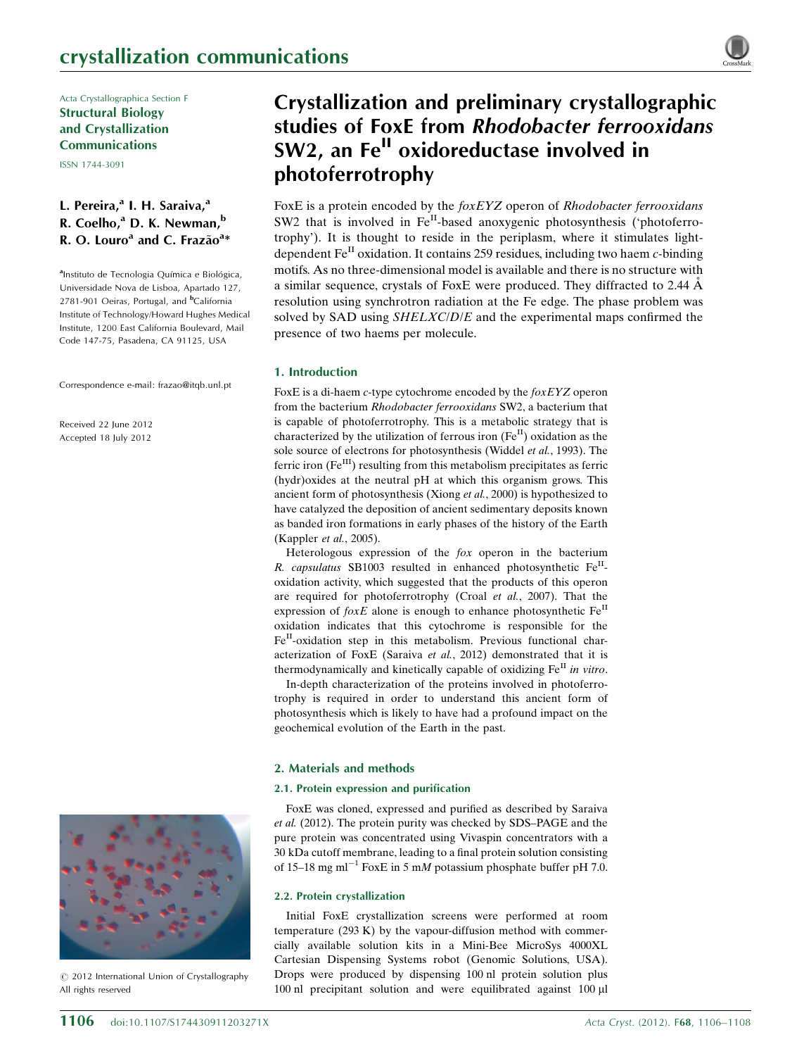Acta Crystallographica Section F Structural Biology and Crystallization Communications

ISSN 1744-3091

## L. Pereira,<sup>a</sup> I. H. Saraiva,<sup>a</sup> R. Coelho,<sup>a</sup> D. K. Newman,<sup>b</sup> R. O. Louro<sup>a</sup> and C. Frazão<sup>a\*</sup>

<sup>a</sup>Instituto de Tecnologia Química e Biológica, Universidade Nova de Lisboa, Apartado 127, 2781-901 Oeiras, Portugal, and <sup>b</sup>California Institute of Technology/Howard Hughes Medical Institute, 1200 East California Boulevard, Mail Code 147-75, Pasadena, CA 91125, USA

Correspondence e-mail: [frazao@itqb.unl.pt](http://scripts.iucr.org/cgi-bin/cr.cgi?rm=pdfbb&cnor=fw5375&bbid=BB15)

Received 22 June 2012 Accepted 18 July 2012



 $\circled{c}$  2012 International Union of Crystallography All rights reserved

# Crystallization and preliminary crystallographic studies of FoxE from Rhodobacter ferrooxidans SW2, an Fe<sup>II</sup> oxidoreductase involved in photoferrotrophy

FoxE is a protein encoded by the *foxEYZ* operon of *Rhodobacter ferrooxidans* SW2 that is involved in  $Fe^{II}$ -based anoxygenic photosynthesis ('photoferrotrophy'). It is thought to reside in the periplasm, where it stimulates lightdependent  $Fe<sup>H</sup>$  oxidation. It contains 259 residues, including two haem c-binding motifs. As no three-dimensional model is available and there is no structure with a similar sequence, crystals of FoxE were produced. They diffracted to 2.44  $\AA$ resolution using synchrotron radiation at the Fe edge. The phase problem was solved by SAD using SHELXC/D/E and the experimental maps confirmed the presence of two haems per molecule.

## 1. Introduction

FoxE is a di-haem c-type cytochrome encoded by the foxEYZ operon from the bacterium Rhodobacter ferrooxidans SW2, a bacterium that is capable of photoferrotrophy. This is a metabolic strategy that is characterized by the utilization of ferrous iron  $(Fe^{II})$  oxidation as the sole source of electrons for photosynthesis (Widdel et al., 1993). The ferric iron  $(Fe^{III})$  resulting from this metabolism precipitates as ferric (hydr)oxides at the neutral pH at which this organism grows. This ancient form of photosynthesis (Xiong et al., 2000) is hypothesized to have catalyzed the deposition of ancient sedimentary deposits known as banded iron formations in early phases of the history of the Earth (Kappler et al., 2005).

Heterologous expression of the fox operon in the bacterium R. capsulatus SB1003 resulted in enhanced photosynthetic  $Fe<sup>H</sup>$ oxidation activity, which suggested that the products of this operon are required for photoferrotrophy (Croal et al., 2007). That the expression of  $f \circ x E$  alone is enough to enhance photosynthetic  $Fe^{II}$ oxidation indicates that this cytochrome is responsible for the  $Fe<sup>H</sup>$ -oxidation step in this metabolism. Previous functional characterization of FoxE (Saraiva et al., 2012) demonstrated that it is thermodynamically and kinetically capable of oxidizing  $Fe<sup>H</sup>$  in vitro.

In-depth characterization of the proteins involved in photoferrotrophy is required in order to understand this ancient form of photosynthesis which is likely to have had a profound impact on the geochemical evolution of the Earth in the past.

## 2. Materials and methods

## 2.1. Protein expression and purification

FoxE was cloned, expressed and purified as described by Saraiva et al. (2012). The protein purity was checked by SDS–PAGE and the pure protein was concentrated using Vivaspin concentrators with a 30 kDa cutoff membrane, leading to a final protein solution consisting of 15–18 mg ml<sup>-1</sup> FoxE in 5 mM potassium phosphate buffer pH 7.0.

## 2.2. Protein crystallization

Initial FoxE crystallization screens were performed at room temperature (293 K) by the vapour-diffusion method with commercially available solution kits in a Mini-Bee MicroSys 4000XL Cartesian Dispensing Systems robot (Genomic Solutions, USA). Drops were produced by dispensing 100 nl protein solution plus 100 nl precipitant solution and were equilibrated against 100 µl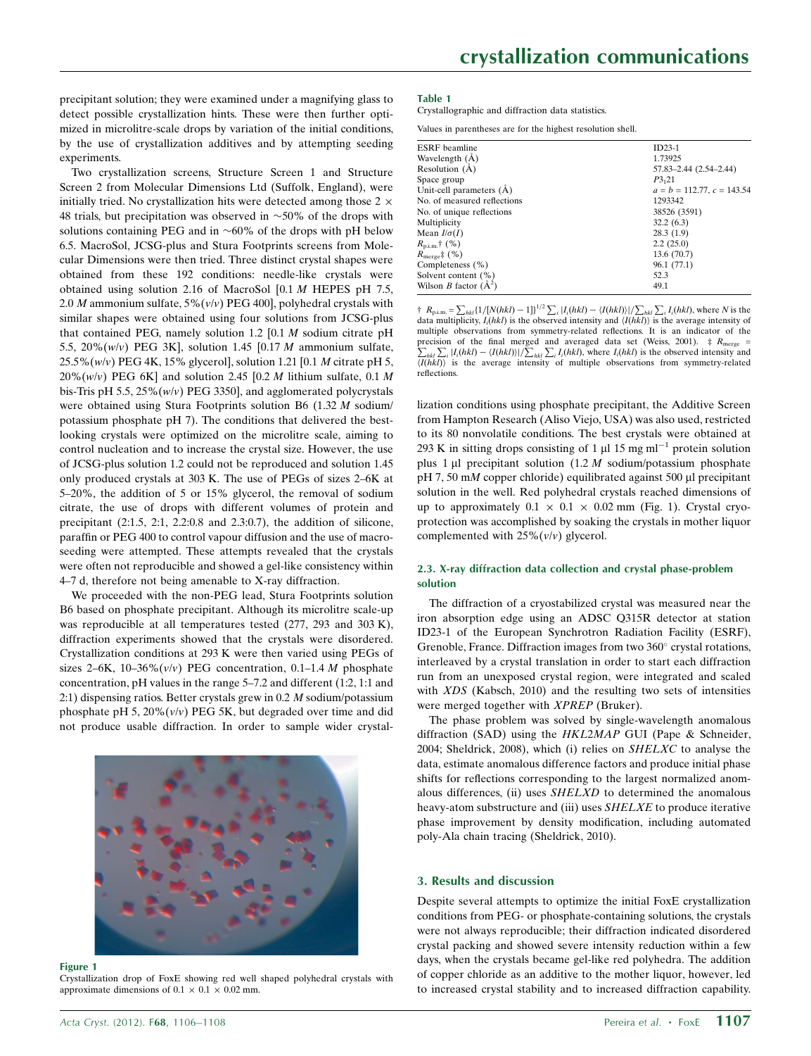precipitant solution; they were examined under a magnifying glass to detect possible crystallization hints. These were then further optimized in microlitre-scale drops by variation of the initial conditions, by the use of crystallization additives and by attempting seeding experiments.

Two crystallization screens, Structure Screen 1 and Structure Screen 2 from Molecular Dimensions Ltd (Suffolk, England), were initially tried. No crystallization hits were detected among those  $2 \times$ 48 trials, but precipitation was observed in  $\sim$  50% of the drops with solutions containing PEG and in  $~60\%$  of the drops with pH below 6.5. MacroSol, JCSG-plus and Stura Footprints screens from Molecular Dimensions were then tried. Three distinct crystal shapes were obtained from these 192 conditions: needle-like crystals were obtained using solution 2.16 of MacroSol [0.1 M HEPES pH 7.5, 2.0 *M* ammonium sulfate,  $5\%(v/v)$  PEG 400], polyhedral crystals with similar shapes were obtained using four solutions from JCSG-plus that contained PEG, namely solution 1.2  $[0.1 M]$  sodium citrate pH 5.5, 20% $(w/v)$  PEG 3K], solution 1.45 [0.17 *M* ammonium sulfate,  $25.5\%$  (w/v) PEG 4K, 15% glycerol], solution 1.21 [0.1 *M* citrate pH 5,  $20\%$ (w/v) PEG 6K] and solution 2.45 [0.2 M lithium sulfate, 0.1 M bis-Tris pH 5.5,  $25\%(w/v)$  PEG 3350], and agglomerated polycrystals were obtained using Stura Footprints solution B6 (1.32 M sodium/ potassium phosphate pH 7). The conditions that delivered the bestlooking crystals were optimized on the microlitre scale, aiming to control nucleation and to increase the crystal size. However, the use of JCSG-plus solution 1.2 could not be reproduced and solution 1.45 only produced crystals at 303 K. The use of PEGs of sizes 2–6K at 5–20%, the addition of 5 or 15% glycerol, the removal of sodium citrate, the use of drops with different volumes of protein and precipitant (2:1.5, 2:1, 2.2:0.8 and 2.3:0.7), the addition of silicone, paraffin or PEG 400 to control vapour diffusion and the use of macroseeding were attempted. These attempts revealed that the crystals were often not reproducible and showed a gel-like consistency within 4–7 d, therefore not being amenable to X-ray diffraction.

We proceeded with the non-PEG lead, Stura Footprints solution B6 based on phosphate precipitant. Although its microlitre scale-up was reproducible at all temperatures tested (277, 293 and 303 K), diffraction experiments showed that the crystals were disordered. Crystallization conditions at 293 K were then varied using PEGs of sizes 2–6K, 10–36% $(v/v)$  PEG concentration, 0.1–1.4 *M* phosphate concentration, pH values in the range 5–7.2 and different (1:2, 1:1 and 2:1) dispensing ratios. Better crystals grew in 0.2 M sodium/potassium phosphate pH 5,  $20\%$  ( $v/v$ ) PEG 5K, but degraded over time and did not produce usable diffraction. In order to sample wider crystal-



#### Figure 1

Crystallization drop of FoxE showing red well shaped polyhedral crystals with approximate dimensions of 0.1  $\times$  0.1  $\times$  0.02 mm.

#### Table 1

Crystallographic and diffraction data statistics.

Values in parentheses are for the highest resolution shell.

| <b>ESRF</b> beamline           | $ID23-1$                        |
|--------------------------------|---------------------------------|
| Wavelength (A)                 | 1.73925                         |
| Resolution $(A)$               | 57.83-2.44 (2.54-2.44)          |
| Space group                    | P3,21                           |
| Unit-cell parameters (A)       | $a = b = 112.77$ , $c = 143.54$ |
| No. of measured reflections    | 1293342                         |
| No. of unique reflections      | 38526 (3591)                    |
| Multiplicity                   | 32.2(6.3)                       |
| Mean $I/\sigma(I)$             | 28.3(1.9)                       |
| $R_{\text{p.i.m.}}$ † (%)      | 2.2(25.0)                       |
| $R_{\text{merge}}$ (%)         | 13.6 (70.7)                     |
| Completeness (%)               | 96.1 (77.1)                     |
| Solvent content $(\% )$        | 52.3                            |
| Wilson <i>B</i> factor $(A^2)$ | 49.1                            |
|                                |                                 |

 $\dagger$   $R_{\text{p.i.m.}} = \sum_{hkl} \{1/[N(hkl) - 1]\}^{1/2} \sum_i |I_i(hkl) - \langle I(hkl) \rangle| / \sum_{hkl} \sum_i I_i(hkl)$ , where N is the data multiplicity,  $I_i(hkl)$  is the observed intensity and  $\langle I(hkl)\rangle$  is the average intensity of multiple observations from symmetry-related reflections. It is an indicator of the precision of the final merged and averaged data set (Weiss, 2001).  $\ddagger R_{\text{merge}} = \sum_{\text{N}} \sum_{I(L+I)} \frac{I(L+I)}{I(L+I)} \cdot \frac{I(L+I)}{I(L+I)} \cdot \sum_{I(L+I)} \frac{I(L+I)}{I(L+I)}$  where  $I(L+I)$  is the observed intensity and  $\sum_{hkl} \sum_{i} |I_i(hkl) - \langle I(hkl) \rangle| \langle \sum_{hkl} \sum_{i} I_i(hkl)$ , where  $I_i(hkl)$  is the observed intensity and  $\langle I(hkl) \rangle$  is the average intensity of multiple observations from symmetry-related reflections.

lization conditions using phosphate precipitant, the Additive Screen from Hampton Research (Aliso Viejo, USA) was also used, restricted to its 80 nonvolatile conditions. The best crystals were obtained at 293 K in sitting drops consisting of 1  $\mu$ l 15 mg ml<sup>-1</sup> protein solution plus 1  $\mu$ l precipitant solution (1.2 *M* sodium/potassium phosphate pH 7, 50 mM copper chloride) equilibrated against 500  $\mu$ l precipitant solution in the well. Red polyhedral crystals reached dimensions of up to approximately  $0.1 \times 0.1 \times 0.02$  mm (Fig. 1). Crystal cryoprotection was accomplished by soaking the crystals in mother liquor complemented with  $25\%(\nu/\nu)$  glycerol.

## 2.3. X-ray diffraction data collection and crystal phase-problem solution

The diffraction of a cryostabilized crystal was measured near the iron absorption edge using an ADSC Q315R detector at station ID23-1 of the European Synchrotron Radiation Facility (ESRF), Grenoble, France. Diffraction images from two  $360^{\circ}$  crystal rotations, interleaved by a crystal translation in order to start each diffraction run from an unexposed crystal region, were integrated and scaled with XDS (Kabsch, 2010) and the resulting two sets of intensities were merged together with XPREP (Bruker).

The phase problem was solved by single-wavelength anomalous diffraction (SAD) using the HKL2MAP GUI (Pape & Schneider, 2004; Sheldrick, 2008), which (i) relies on SHELXC to analyse the data, estimate anomalous difference factors and produce initial phase shifts for reflections corresponding to the largest normalized anomalous differences, (ii) uses SHELXD to determined the anomalous heavy-atom substructure and (iii) uses SHELXE to produce iterative phase improvement by density modification, including automated poly-Ala chain tracing (Sheldrick, 2010).

## 3. Results and discussion

Despite several attempts to optimize the initial FoxE crystallization conditions from PEG- or phosphate-containing solutions, the crystals were not always reproducible; their diffraction indicated disordered crystal packing and showed severe intensity reduction within a few days, when the crystals became gel-like red polyhedra. The addition of copper chloride as an additive to the mother liquor, however, led to increased crystal stability and to increased diffraction capability.